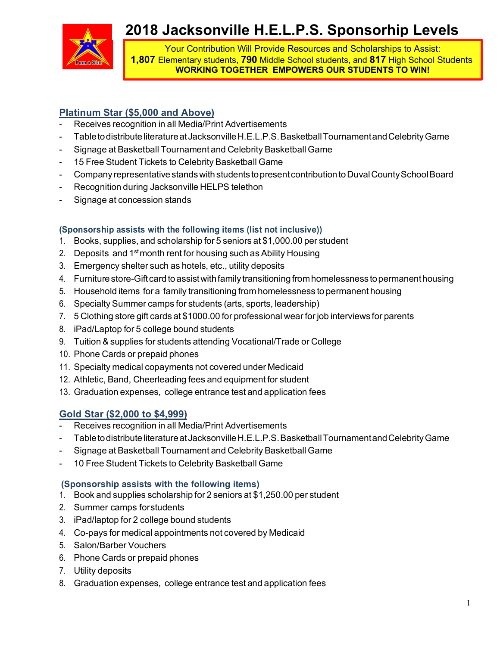

# **2018 Jacksonville H.E.L.P.S. Sponsorhip Levels**

Your Contribution Will Provide Resources and Scholarships to Assist: **1,807** Elementary students, **790** Middle School students, and **817** High School Students **WORKING TOGETHER EMPOWERS OUR STUDENTS TO WIN!**

# **Platinum Star (\$5,000 and Above)**

- Receives recognition in all Media/Print Advertisements
- Table to distribute literature at Jacksonville H.E.L.P.S. Basketball Tournamentand Celebrity Game
- Signage at Basketball Tournament and Celebrity Basketball Game
- 15 Free Student Tickets to Celebrity Basketball Game
- Company representative stands with students to present contribution to Duval County School Board
- Recognition during Jacksonville HELPS telethon
- Signage at concession stands

## **(Sponsorship assists with the following items (list not inclusive))**

- 1. Books, supplies, and scholarship for 5 seniors at \$1,000.00 per student
- 2. Deposits and  $1<sup>st</sup>$  month rent for housing such as Ability Housing
- 3. Emergency shelter such as hotels, etc., utility deposits
- 4. Furniture store-Gift card to assist with family transitioning from homelessness to permanent housing
- 5. Household items for a family transitioning from homelessness to permanent housing
- 6. Specialty Summer camps for students (arts, sports, leadership)
- 7. 5 Clothing store gift cards at \$1000.00 for professional wear for job interviews for parents
- 8. iPad/Laptop for 5 college bound students
- 9. Tuition & supplies for students attending Vocational/Trade or College
- 10. Phone Cards or prepaid phones
- 11. Specialty medical copayments not covered under Medicaid
- 12. Athletic, Band, Cheerleading fees and equipment for student
- 13. Graduation expenses, college entrance test and application fees

## **Gold Star (\$2,000 to \$4,999)**

- Receives recognition in all Media/Print Advertisements
- Table to distribute literature at Jacksonville H.E.L.P.S. Basketball Tournamentand Celebrity Game
- Signage at Basketball Tournament and Celebrity Basketball Game
- 10 Free Student Tickets to Celebrity Basketball Game

#### **(Sponsorship assists with the following items)**

- 1. Book and supplies scholarship for 2 seniors at \$1,250.00 per student
- 2. Summer camps forstudents
- 3. iPad/laptop for 2 college bound students
- 4. Co-pays for medical appointments not covered by Medicaid
- 5. Salon/Barber Vouchers
- 6. Phone Cards or prepaid phones
- 7. Utility deposits
- 8. Graduation expenses, college entrance test and application fees